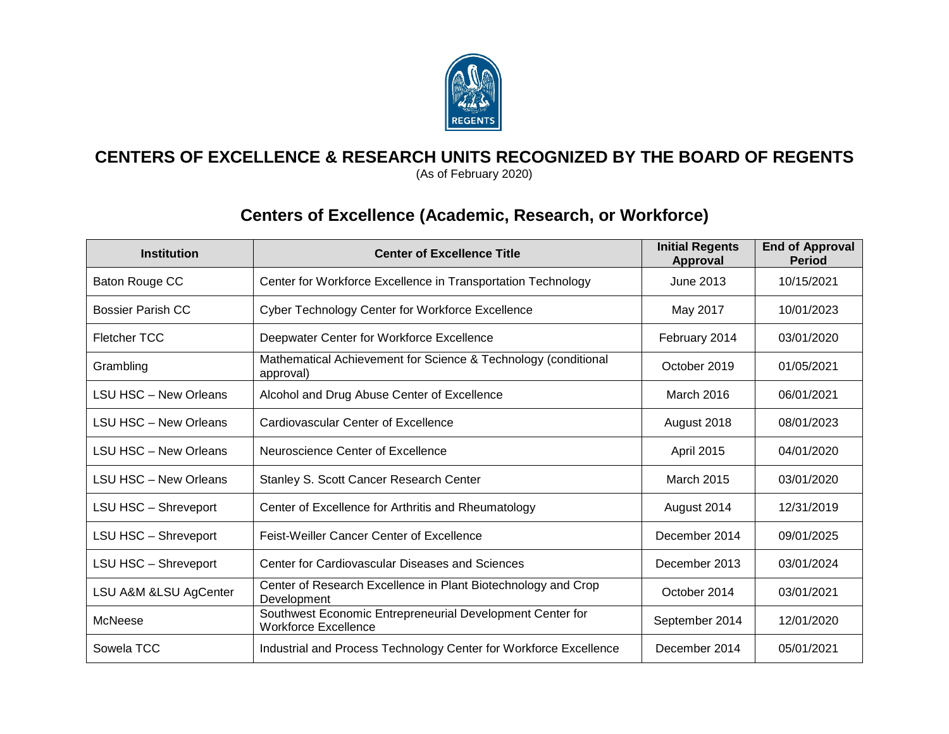

## **CENTERS OF EXCELLENCE & RESEARCH UNITS RECOGNIZED BY THE BOARD OF REGENTS**

(As of February 2020)

## **Centers of Excellence (Academic, Research, or Workforce)**

| <b>Institution</b>    | <b>Center of Excellence Title</b>                                                        | <b>Initial Regents</b><br><b>Approval</b> | <b>End of Approval</b><br><b>Period</b> |
|-----------------------|------------------------------------------------------------------------------------------|-------------------------------------------|-----------------------------------------|
| Baton Rouge CC        | Center for Workforce Excellence in Transportation Technology                             | June 2013                                 | 10/15/2021                              |
| Bossier Parish CC     | Cyber Technology Center for Workforce Excellence                                         | May 2017                                  | 10/01/2023                              |
| Fletcher TCC          | Deepwater Center for Workforce Excellence                                                | February 2014                             | 03/01/2020                              |
| Grambling             | Mathematical Achievement for Science & Technology (conditional<br>approval)              | October 2019                              | 01/05/2021                              |
| LSU HSC - New Orleans | Alcohol and Drug Abuse Center of Excellence                                              | March 2016                                | 06/01/2021                              |
| LSU HSC - New Orleans | Cardiovascular Center of Excellence                                                      | August 2018                               | 08/01/2023                              |
| LSU HSC - New Orleans | Neuroscience Center of Excellence                                                        | April 2015                                | 04/01/2020                              |
| LSU HSC - New Orleans | Stanley S. Scott Cancer Research Center                                                  | <b>March 2015</b>                         | 03/01/2020                              |
| LSU HSC - Shreveport  | Center of Excellence for Arthritis and Rheumatology                                      | August 2014                               | 12/31/2019                              |
| LSU HSC - Shreveport  | Feist-Weiller Cancer Center of Excellence                                                | December 2014                             | 09/01/2025                              |
| LSU HSC - Shreveport  | Center for Cardiovascular Diseases and Sciences                                          | December 2013                             | 03/01/2024                              |
| LSU A&M &LSU AgCenter | Center of Research Excellence in Plant Biotechnology and Crop<br>Development             | October 2014                              | 03/01/2021                              |
| McNeese               | Southwest Economic Entrepreneurial Development Center for<br><b>Workforce Excellence</b> | September 2014                            | 12/01/2020                              |
| Sowela TCC            | Industrial and Process Technology Center for Workforce Excellence                        | December 2014                             | 05/01/2021                              |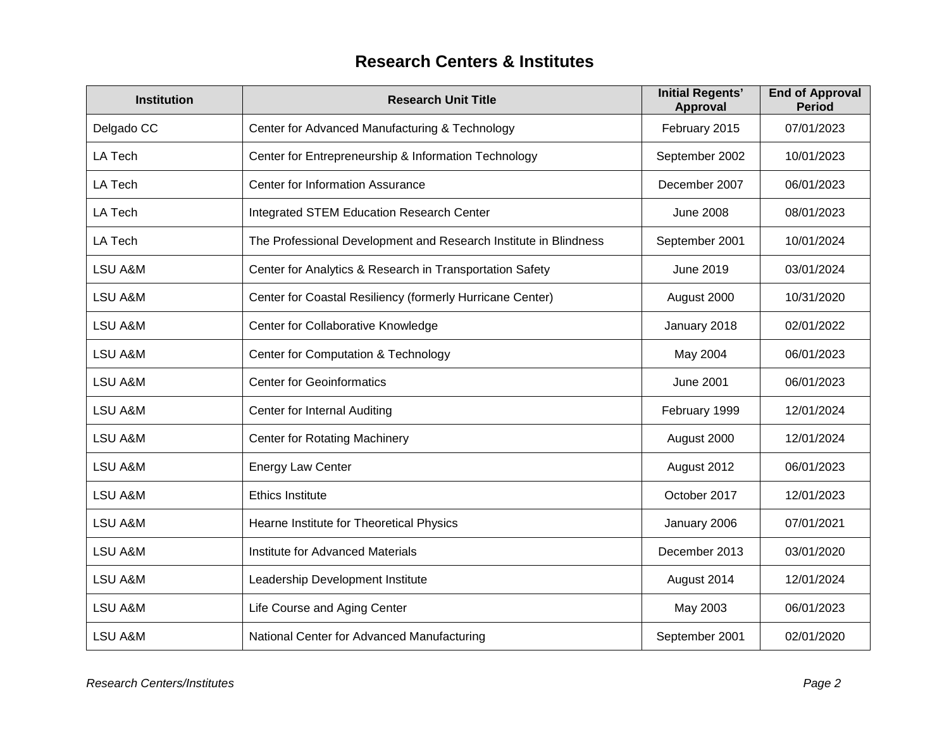## **Research Centers & Institutes**

| <b>Institution</b> | <b>Research Unit Title</b>                                       | <b>Initial Regents'</b><br>Approval | <b>End of Approval</b><br><b>Period</b> |
|--------------------|------------------------------------------------------------------|-------------------------------------|-----------------------------------------|
| Delgado CC         | Center for Advanced Manufacturing & Technology                   | February 2015                       | 07/01/2023                              |
| LA Tech            | Center for Entrepreneurship & Information Technology             | September 2002                      | 10/01/2023                              |
| LA Tech            | Center for Information Assurance                                 | December 2007                       | 06/01/2023                              |
| <b>LA Tech</b>     | Integrated STEM Education Research Center                        | <b>June 2008</b>                    | 08/01/2023                              |
| LA Tech            | The Professional Development and Research Institute in Blindness | September 2001                      | 10/01/2024                              |
| LSU A&M            | Center for Analytics & Research in Transportation Safety         | June 2019                           | 03/01/2024                              |
| LSU A&M            | Center for Coastal Resiliency (formerly Hurricane Center)        | August 2000                         | 10/31/2020                              |
| LSU A&M            | Center for Collaborative Knowledge                               | January 2018                        | 02/01/2022                              |
| LSU A&M            | Center for Computation & Technology                              | May 2004                            | 06/01/2023                              |
| LSU A&M            | <b>Center for Geoinformatics</b>                                 | <b>June 2001</b>                    | 06/01/2023                              |
| LSU A&M            | Center for Internal Auditing                                     | February 1999                       | 12/01/2024                              |
| LSU A&M            | <b>Center for Rotating Machinery</b>                             | August 2000                         | 12/01/2024                              |
| LSU A&M            | <b>Energy Law Center</b>                                         | August 2012                         | 06/01/2023                              |
| LSU A&M            | <b>Ethics Institute</b>                                          | October 2017                        | 12/01/2023                              |
| LSU A&M            | Hearne Institute for Theoretical Physics                         | January 2006                        | 07/01/2021                              |
| LSU A&M            | Institute for Advanced Materials                                 | December 2013                       | 03/01/2020                              |
| LSU A&M            | Leadership Development Institute                                 | August 2014                         | 12/01/2024                              |
| LSU A&M            | Life Course and Aging Center                                     | May 2003                            | 06/01/2023                              |
| LSU A&M            | National Center for Advanced Manufacturing                       | September 2001                      | 02/01/2020                              |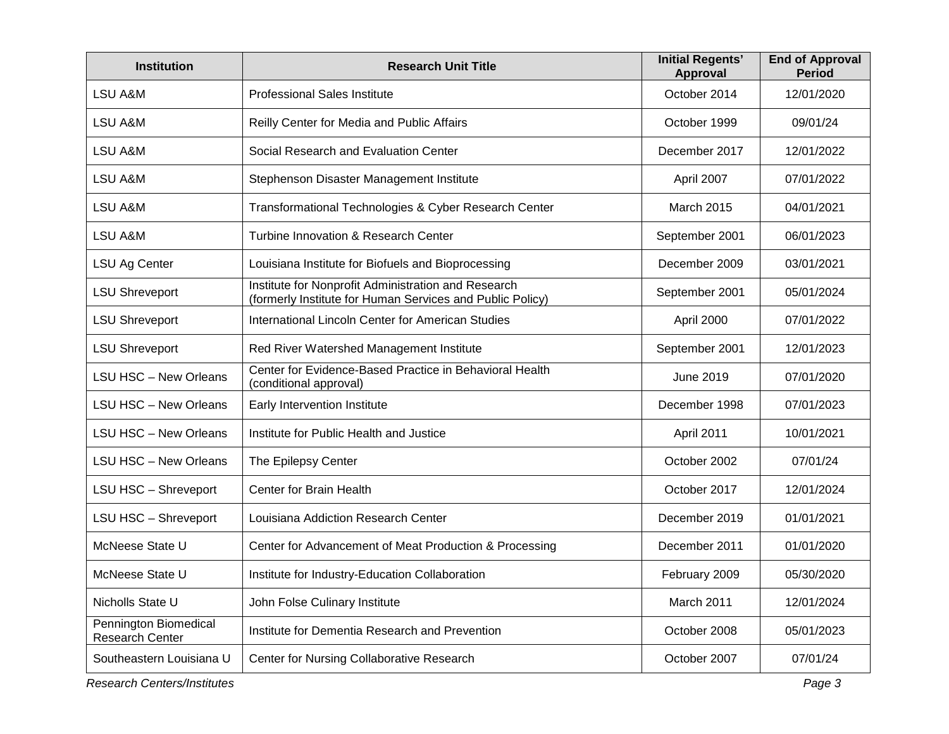| <b>Institution</b>                              | <b>Research Unit Title</b>                                                                                       | <b>Initial Regents'</b><br>Approval | <b>End of Approval</b><br><b>Period</b> |
|-------------------------------------------------|------------------------------------------------------------------------------------------------------------------|-------------------------------------|-----------------------------------------|
| LSU A&M                                         | <b>Professional Sales Institute</b>                                                                              | October 2014                        | 12/01/2020                              |
| LSU A&M                                         | Reilly Center for Media and Public Affairs                                                                       | October 1999                        | 09/01/24                                |
| LSU A&M                                         | Social Research and Evaluation Center                                                                            | December 2017                       | 12/01/2022                              |
| LSU A&M                                         | Stephenson Disaster Management Institute                                                                         | April 2007                          | 07/01/2022                              |
| LSU A&M                                         | Transformational Technologies & Cyber Research Center                                                            | <b>March 2015</b>                   | 04/01/2021                              |
| LSU A&M                                         | Turbine Innovation & Research Center                                                                             | September 2001                      | 06/01/2023                              |
| <b>LSU Ag Center</b>                            | Louisiana Institute for Biofuels and Bioprocessing                                                               | December 2009                       | 03/01/2021                              |
| <b>LSU Shreveport</b>                           | Institute for Nonprofit Administration and Research<br>(formerly Institute for Human Services and Public Policy) | September 2001                      | 05/01/2024                              |
| <b>LSU Shreveport</b>                           | International Lincoln Center for American Studies                                                                | April 2000                          | 07/01/2022                              |
| <b>LSU Shreveport</b>                           | Red River Watershed Management Institute                                                                         | September 2001                      | 12/01/2023                              |
| LSU HSC - New Orleans                           | Center for Evidence-Based Practice in Behavioral Health<br>(conditional approval)                                | June 2019                           | 07/01/2020                              |
| LSU HSC - New Orleans                           | Early Intervention Institute                                                                                     | December 1998                       | 07/01/2023                              |
| LSU HSC - New Orleans                           | Institute for Public Health and Justice                                                                          | April 2011                          | 10/01/2021                              |
| LSU HSC - New Orleans                           | The Epilepsy Center                                                                                              | October 2002                        | 07/01/24                                |
| LSU HSC - Shreveport                            | Center for Brain Health                                                                                          | October 2017                        | 12/01/2024                              |
| LSU HSC - Shreveport                            | Louisiana Addiction Research Center                                                                              | December 2019                       | 01/01/2021                              |
| McNeese State U                                 | Center for Advancement of Meat Production & Processing                                                           | December 2011                       | 01/01/2020                              |
| McNeese State U                                 | Institute for Industry-Education Collaboration                                                                   | February 2009                       | 05/30/2020                              |
| Nicholls State U                                | John Folse Culinary Institute                                                                                    | March 2011                          | 12/01/2024                              |
| Pennington Biomedical<br><b>Research Center</b> | Institute for Dementia Research and Prevention                                                                   | October 2008                        | 05/01/2023                              |
| Southeastern Louisiana U                        | Center for Nursing Collaborative Research                                                                        | October 2007                        | 07/01/24                                |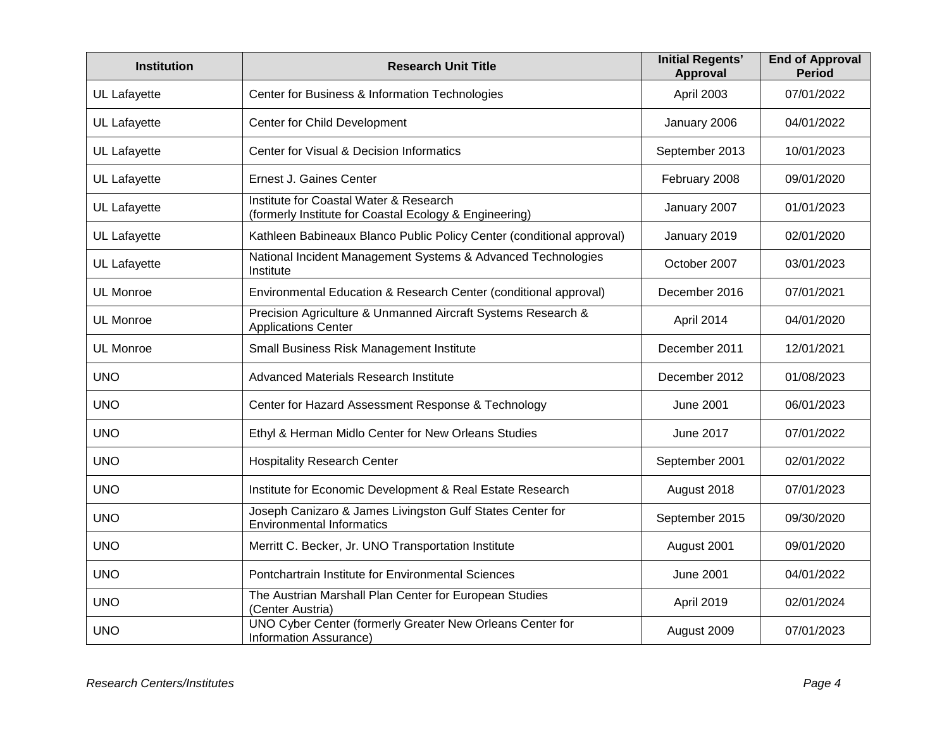| <b>Institution</b>  | <b>Research Unit Title</b>                                                                       | <b>Initial Regents'</b><br>Approval | <b>End of Approval</b><br><b>Period</b> |
|---------------------|--------------------------------------------------------------------------------------------------|-------------------------------------|-----------------------------------------|
| UL Lafayette        | Center for Business & Information Technologies                                                   | April 2003                          | 07/01/2022                              |
| <b>UL Lafayette</b> | Center for Child Development                                                                     | January 2006                        | 04/01/2022                              |
| UL Lafayette        | Center for Visual & Decision Informatics                                                         | September 2013                      | 10/01/2023                              |
| <b>UL Lafayette</b> | Ernest J. Gaines Center                                                                          | February 2008                       | 09/01/2020                              |
| <b>UL Lafayette</b> | Institute for Coastal Water & Research<br>(formerly Institute for Coastal Ecology & Engineering) | January 2007                        | 01/01/2023                              |
| <b>UL Lafayette</b> | Kathleen Babineaux Blanco Public Policy Center (conditional approval)                            | January 2019                        | 02/01/2020                              |
| UL Lafayette        | National Incident Management Systems & Advanced Technologies<br>Institute                        | October 2007                        | 03/01/2023                              |
| <b>UL Monroe</b>    | Environmental Education & Research Center (conditional approval)                                 | December 2016                       | 07/01/2021                              |
| <b>UL Monroe</b>    | Precision Agriculture & Unmanned Aircraft Systems Research &<br><b>Applications Center</b>       | April 2014                          | 04/01/2020                              |
| <b>UL Monroe</b>    | Small Business Risk Management Institute                                                         | December 2011                       | 12/01/2021                              |
| <b>UNO</b>          | <b>Advanced Materials Research Institute</b>                                                     | December 2012                       | 01/08/2023                              |
| <b>UNO</b>          | Center for Hazard Assessment Response & Technology                                               | <b>June 2001</b>                    | 06/01/2023                              |
| <b>UNO</b>          | Ethyl & Herman Midlo Center for New Orleans Studies                                              | <b>June 2017</b>                    | 07/01/2022                              |
| <b>UNO</b>          | <b>Hospitality Research Center</b>                                                               | September 2001                      | 02/01/2022                              |
| <b>UNO</b>          | Institute for Economic Development & Real Estate Research                                        | August 2018                         | 07/01/2023                              |
| <b>UNO</b>          | Joseph Canizaro & James Livingston Gulf States Center for<br><b>Environmental Informatics</b>    | September 2015                      | 09/30/2020                              |
| <b>UNO</b>          | Merritt C. Becker, Jr. UNO Transportation Institute                                              | August 2001                         | 09/01/2020                              |
| <b>UNO</b>          | Pontchartrain Institute for Environmental Sciences                                               | <b>June 2001</b>                    | 04/01/2022                              |
| <b>UNO</b>          | The Austrian Marshall Plan Center for European Studies<br>(Center Austria)                       | April 2019                          | 02/01/2024                              |
| <b>UNO</b>          | UNO Cyber Center (formerly Greater New Orleans Center for<br>Information Assurance)              | August 2009                         | 07/01/2023                              |